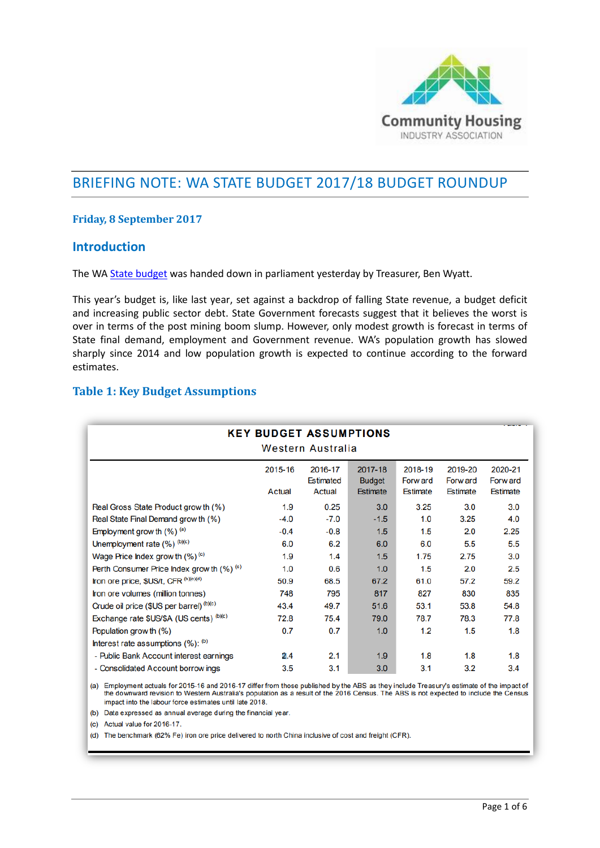

# BRIEFING NOTE: WA STATE BUDGET 2017/18 BUDGET ROUNDUP

### **Friday, 8 September 2017**

## **Introduction**

The WA [State budget](https://www.ourstatebudget.wa.gov.au/Budget-Papers/) was handed down in parliament yesterday by Treasurer, Ben Wyatt.

This year's budget is, like last year, set against a backdrop of falling State revenue, a budget deficit and increasing public sector debt. State Government forecasts suggest that it believes the worst is over in terms of the post mining boom slump. However, only modest growth is forecast in terms of State final demand, employment and Government revenue. WA's population growth has slowed sharply since 2014 and low population growth is expected to continue according to the forward estimates.

## **Table 1: Key Budget Assumptions**

|                                            | <b>KEY BUDGET ASSUMPTIONS</b> | Western Australia                            |                                             |                                        |                                        |                                        |
|--------------------------------------------|-------------------------------|----------------------------------------------|---------------------------------------------|----------------------------------------|----------------------------------------|----------------------------------------|
|                                            | 2015-16<br>Actual             | 2016-17<br><b>Estimated</b><br><b>Actual</b> | 2017-18<br><b>Budget</b><br><b>Estimate</b> | 2018-19<br>Forw ard<br><b>Estimate</b> | 2019-20<br>Forw ard<br><b>Estimate</b> | 2020-21<br>Forw ard<br><b>Estimate</b> |
| Real Gross State Product grow th (%)       | 1.9                           | 0.25                                         | 3.0                                         | 3.25                                   | 3.0                                    | 3.0                                    |
| Real State Final Demand grow th (%)        | $-4.0$                        | $-7.0$                                       | $-1.5$                                      | 1.0                                    | 3.25                                   | 4.0                                    |
| Employment grow th $(\%)$ <sup>(a)</sup>   | $-0.4$                        | $-0.8$                                       | 1.5                                         | 1.5                                    | 2.0                                    | 2.25                                   |
| Unemployment rate $(\%)^{(b)(c)}$          | 6.0                           | 6.2                                          | 6.0                                         | 6.0                                    | 5.5                                    | 5.5                                    |
| Wage Price Index grow th $(\%)^{(c)}$      | 1.9                           | 1.4                                          | 1.5                                         | 1.75                                   | 2.75                                   | 3.0                                    |
| Perth Consumer Price Index grow th (%) (c) | 1.0                           | 0.6                                          | 1.0                                         | 1.5                                    | 2.0                                    | 2.5                                    |
| Iron ore price, \$US/t, CFR (b)(c)(d)      | 50.9                          | 68.5                                         | 67.2                                        | 61.0                                   | 57.2                                   | 59.2                                   |
| Iron ore volumes (million tonnes)          | 748                           | 795                                          | 817                                         | 827                                    | 830                                    | 835                                    |
| Crude oil price (\$US per barrel) (b)(c)   | 43.4                          | 49.7                                         | 51.6                                        | 53.1                                   | 53.8                                   | 54.8                                   |
| Exchange rate \$US/\$A (US cents) (b)(c)   | 72.8                          | 75.4                                         | 79.0                                        | 78.7                                   | 78.3                                   | 77.8                                   |
| Population grow th (%)                     | 0.7                           | 0.7                                          | 1.0                                         | 1.2                                    | 1.5                                    | 1.8                                    |
| Interest rate assumptions (%): (b)         |                               |                                              |                                             |                                        |                                        |                                        |
| - Public Bank Account interest earnings    | 2.4                           | 2.1                                          | 1.9                                         | 1.8                                    | 1.8                                    | 1.8                                    |
| - Consolidated Account borrow ings         | 3.5                           | 3.1                                          | 3.0                                         | 3.1                                    | 3.2                                    | 3.4                                    |

(a) Employment actuals for 2015-16 and 2016-17 differ from those published by the ABS as they include Treasury's estimate of the impact of the downward revision to Western Australia's population as a result of the 2016 Cen impact into the labour force estimates until late 2018.

(b) Data expressed as annual average during the financial year.

(c) Actual value for 2016-17.

(d) The benchmark (62% Fe) iron ore price delivered to north China inclusive of cost and freight (CFR).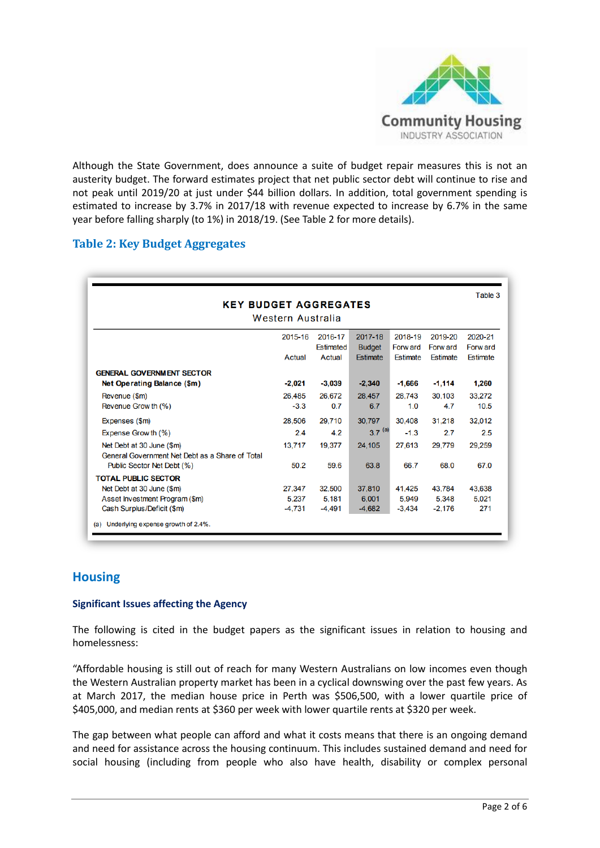

Although the State Government, does announce a suite of budget repair measures this is not an austerity budget. The forward estimates project that net public sector debt will continue to rise and not peak until 2019/20 at just under \$44 billion dollars. In addition, total government spending is estimated to increase by 3.7% in 2017/18 with revenue expected to increase by 6.7% in the same year before falling sharply (to 1%) in 2018/19. (See Table 2 for more details).

## **Table 2: Key Budget Aggregates**

| <b>KEY BUDGET AGGREGATES</b><br>Western Australia |          |                  |                 |          |          |                 |
|---------------------------------------------------|----------|------------------|-----------------|----------|----------|-----------------|
|                                                   | 2015-16  | 2016-17          | 2017-18         | 2018-19  | 2019-20  | 2020-21         |
|                                                   |          | <b>Estimated</b> | <b>Budget</b>   | Forw ard | Forw ard | Forw ard        |
|                                                   | Actual   | Actual           | <b>Estimate</b> | Estimate | Estimate | <b>Estimate</b> |
| <b>GENERAL GOVERNMENT SECTOR</b>                  |          |                  |                 |          |          |                 |
| Net Operating Balance (\$m)                       | $-2,021$ | $-3,039$         | $-2.340$        | $-1.666$ | $-1,114$ | 1,260           |
| Revenue (\$m)                                     | 26.485   | 26.672           | 28.457          | 28.743   | 30.103   | 33.272          |
| Revenue Grow th (%)                               | $-3.3$   | 0.7              | 6.7             | 1.0      | 4.7      | 10.5            |
| Expenses (\$m)                                    | 28,506   | 29,710           | 30.797          | 30,408   | 31.218   | 32,012          |
| Expense Grow th (%)                               | 2.4      | 4.2              | $3.7^{(a)}$     | $-1.3$   | 2.7      | 2.5             |
| Net Debt at 30 June (\$m)                         | 13.717   | 19,377           | 24,105          | 27,613   | 29,779   | 29,259          |
| General Government Net Debt as a Share of Total   |          |                  |                 |          |          |                 |
| Public Sector Net Debt (%)                        | 50.2     | 59.6             | 63.8            | 66.7     | 68.0     | 67.0            |
| <b>TOTAL PUBLIC SECTOR</b>                        |          |                  |                 |          |          |                 |
| Net Debt at 30 June (\$m)                         | 27,347   | 32.500           | 37.810          | 41,425   | 43,784   | 43.638          |
| Asset Investment Program (\$m)                    | 5.237    | 5.181            | 6.001           | 5.949    | 5.348    | 5.021           |
| Cash Surplus/Deficit (\$m)                        | $-4.731$ | $-4.491$         | $-4.682$        | $-3.434$ | $-2.176$ | 271             |

## **Housing**

#### **Significant Issues affecting the Agency**

The following is cited in the budget papers as the significant issues in relation to housing and homelessness:

"Affordable housing is still out of reach for many Western Australians on low incomes even though the Western Australian property market has been in a cyclical downswing over the past few years. As at March 2017, the median house price in Perth was \$506,500, with a lower quartile price of \$405,000, and median rents at \$360 per week with lower quartile rents at \$320 per week.

The gap between what people can afford and what it costs means that there is an ongoing demand and need for assistance across the housing continuum. This includes sustained demand and need for social housing (including from people who also have health, disability or complex personal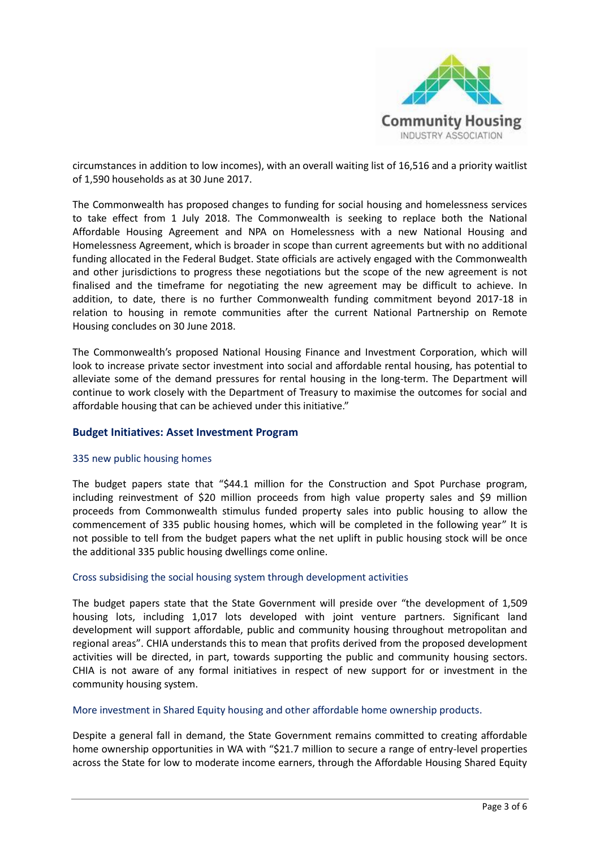

circumstances in addition to low incomes), with an overall waiting list of 16,516 and a priority waitlist of 1,590 households as at 30 June 2017.

The Commonwealth has proposed changes to funding for social housing and homelessness services to take effect from 1 July 2018. The Commonwealth is seeking to replace both the National Affordable Housing Agreement and NPA on Homelessness with a new National Housing and Homelessness Agreement, which is broader in scope than current agreements but with no additional funding allocated in the Federal Budget. State officials are actively engaged with the Commonwealth and other jurisdictions to progress these negotiations but the scope of the new agreement is not finalised and the timeframe for negotiating the new agreement may be difficult to achieve. In addition, to date, there is no further Commonwealth funding commitment beyond 2017-18 in relation to housing in remote communities after the current National Partnership on Remote Housing concludes on 30 June 2018.

The Commonwealth's proposed National Housing Finance and Investment Corporation, which will look to increase private sector investment into social and affordable rental housing, has potential to alleviate some of the demand pressures for rental housing in the long-term. The Department will continue to work closely with the Department of Treasury to maximise the outcomes for social and affordable housing that can be achieved under this initiative."

#### **Budget Initiatives: Asset Investment Program**

#### 335 new public housing homes

The budget papers state that "\$44.1 million for the Construction and Spot Purchase program, including reinvestment of \$20 million proceeds from high value property sales and \$9 million proceeds from Commonwealth stimulus funded property sales into public housing to allow the commencement of 335 public housing homes, which will be completed in the following year" It is not possible to tell from the budget papers what the net uplift in public housing stock will be once the additional 335 public housing dwellings come online.

#### Cross subsidising the social housing system through development activities

The budget papers state that the State Government will preside over "the development of 1,509 housing lots, including 1,017 lots developed with joint venture partners. Significant land development will support affordable, public and community housing throughout metropolitan and regional areas". CHIA understands this to mean that profits derived from the proposed development activities will be directed, in part, towards supporting the public and community housing sectors. CHIA is not aware of any formal initiatives in respect of new support for or investment in the community housing system.

#### More investment in Shared Equity housing and other affordable home ownership products.

Despite a general fall in demand, the State Government remains committed to creating affordable home ownership opportunities in WA with "\$21.7 million to secure a range of entry-level properties across the State for low to moderate income earners, through the Affordable Housing Shared Equity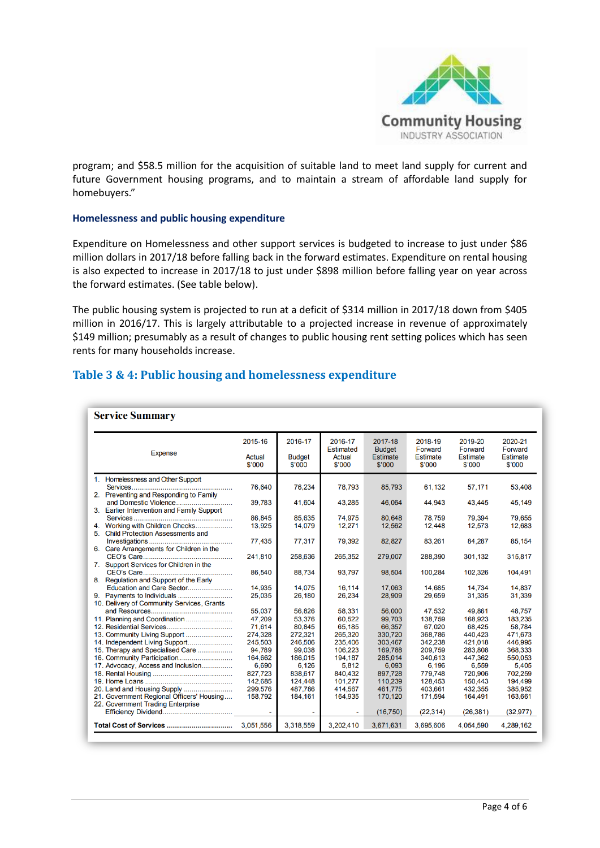

program; and \$58.5 million for the acquisition of suitable land to meet land supply for current and future Government housing programs, and to maintain a stream of affordable land supply for homebuyers."

#### **Homelessness and public housing expenditure**

Expenditure on Homelessness and other support services is budgeted to increase to just under \$86 million dollars in 2017/18 before falling back in the forward estimates. Expenditure on rental housing is also expected to increase in 2017/18 to just under \$898 million before falling year on year across the forward estimates. (See table below).

The public housing system is projected to run at a deficit of \$314 million in 2017/18 down from \$405 million in 2016/17. This is largely attributable to a projected increase in revenue of approximately \$149 million; presumably as a result of changes to public housing rent setting polices which has seen rents for many households increase.

| Table 3 & 4: Public housing and homelessness expenditure |  |
|----------------------------------------------------------|--|
|----------------------------------------------------------|--|

|                                                                          | 2015-16          | 2016-17                 | 2016-17                              | 2017-18                                    | 2018-19                              | 2019-20                              | 2020-21                              |
|--------------------------------------------------------------------------|------------------|-------------------------|--------------------------------------|--------------------------------------------|--------------------------------------|--------------------------------------|--------------------------------------|
| <b>Expense</b>                                                           | Actual<br>\$'000 | <b>Budget</b><br>\$'000 | <b>Estimated</b><br>Actual<br>\$'000 | <b>Budget</b><br><b>Estimate</b><br>\$'000 | Forward<br><b>Estimate</b><br>\$'000 | Forward<br><b>Estimate</b><br>\$'000 | Forward<br><b>Estimate</b><br>\$'000 |
| 1. Homelessness and Other Support                                        |                  |                         |                                      |                                            |                                      |                                      |                                      |
|                                                                          | 76,640           | 76,234                  | 78,793                               | 85,793                                     | 61,132                               | 57,171                               | 53,408                               |
| 2. Preventing and Responding to Family                                   |                  |                         |                                      |                                            |                                      |                                      |                                      |
| and Domestic Violence                                                    | 39,783           | 41,604                  | 43,285                               | 46,064                                     | 44,943                               | 43.445                               | 45,149                               |
| 3. Earlier Intervention and Family Support                               |                  |                         |                                      |                                            |                                      |                                      |                                      |
|                                                                          | 86.845           | 85.635                  | 74.975                               | 80.648                                     | 78.759                               | 79.394                               | 79.655                               |
| Working with Children Checks                                             | 13,925           | 14,079                  | 12,271                               | 12,562                                     | 12,448                               | 12,573                               | 12,683                               |
| <b>Child Protection Assessments and</b><br>5.                            |                  |                         |                                      |                                            |                                      |                                      |                                      |
|                                                                          | 77,435           | 77,317                  | 79,392                               | 82,827                                     | 83,261                               | 84,287                               | 85,154                               |
| 6. Care Arrangements for Children in the                                 |                  |                         |                                      |                                            |                                      |                                      |                                      |
|                                                                          | 241,810          | 258,636                 | 265,352                              | 279,007                                    | 288,390                              | 301,132                              | 315,817                              |
| 7. Support Services for Children in the                                  |                  |                         |                                      |                                            |                                      |                                      |                                      |
|                                                                          | 86.540           | 88,734                  | 93,797                               | 98,504                                     | 100,284                              | 102,326                              | 104,491                              |
| 8. Regulation and Support of the Early                                   |                  |                         |                                      |                                            |                                      |                                      |                                      |
| Education and Care Sector                                                | 14.935           | 14.075                  | 16.114                               | 17.063                                     | 14.685                               | 14.734                               | 14.837                               |
| 9. Payments to Individuals                                               | 25,035           | 26,180                  | 26,234                               | 28,909                                     | 29,659                               | 31,335                               | 31,339                               |
| 10. Delivery of Community Services, Grants                               |                  |                         |                                      |                                            |                                      |                                      |                                      |
|                                                                          | 55.037           | 56.826                  | 58,331                               | 56,000                                     | 47.532                               | 49.861                               | 48,757                               |
| 11. Planning and Coordination                                            | 47.209           | 53,376                  | 60,522                               | 99,703                                     | 138,759                              | 168,923                              | 183,235                              |
|                                                                          | 71.614           | 80.845                  | 65.185                               | 66.357                                     | 67.020                               | 68.425                               | 58.784                               |
| 13. Community Living Support                                             | 274,328          | 272,321                 | 265,320                              | 330,720                                    | 368,786                              | 440.423                              | 471,673                              |
| 14. Independent Living Support                                           | 245,503          | 246,506                 | 235,406                              | 303.467                                    | 342.238                              | 421.018                              | 446.995                              |
| 15. Therapy and Specialised Care                                         | 94,789           | 99,038                  | 106,223                              | 169,788                                    | 209,759                              | 283,808                              | 368,333                              |
| 16. Community Participation                                              | 164,662          | 186,015                 | 194,187                              | 285,014                                    | 340,613                              | 447,362                              | 550,053                              |
| 17. Advocacy, Access and Inclusion                                       | 6,690            | 6,126                   | 5,812                                | 6,093                                      | 6,196                                | 6,559                                | 5,405                                |
|                                                                          | 827,723          | 838,617                 | 840,432                              | 897,728                                    | 779,748                              | 720,906                              | 702,259                              |
|                                                                          | 142,685          | 124,448                 | 101,277                              | 110,239                                    | 128,453                              | 150.443                              | 194,499                              |
| 20. Land and Housing Supply<br>21. Government Regional Officers' Housing | 299,576          | 487.786                 | 414.567                              | 461,775<br>170.120                         | 403.661<br>171.594                   | 432,355<br>164,491                   | 385,952                              |
| 22. Government Trading Enterprise                                        | 158,792          | 184,161                 | 164,935                              |                                            |                                      |                                      | 163,661                              |
|                                                                          |                  |                         |                                      | (16, 750)                                  | (22, 314)                            | (26, 381)                            | (32, 977)                            |
|                                                                          |                  |                         |                                      |                                            |                                      |                                      |                                      |
| <b>Total Cost of Services </b>                                           | 3,051,556        | 3,318,559               | 3,202,410                            | 3,671,631                                  | 3,695,606                            | 4,054,590                            | 4,289,162                            |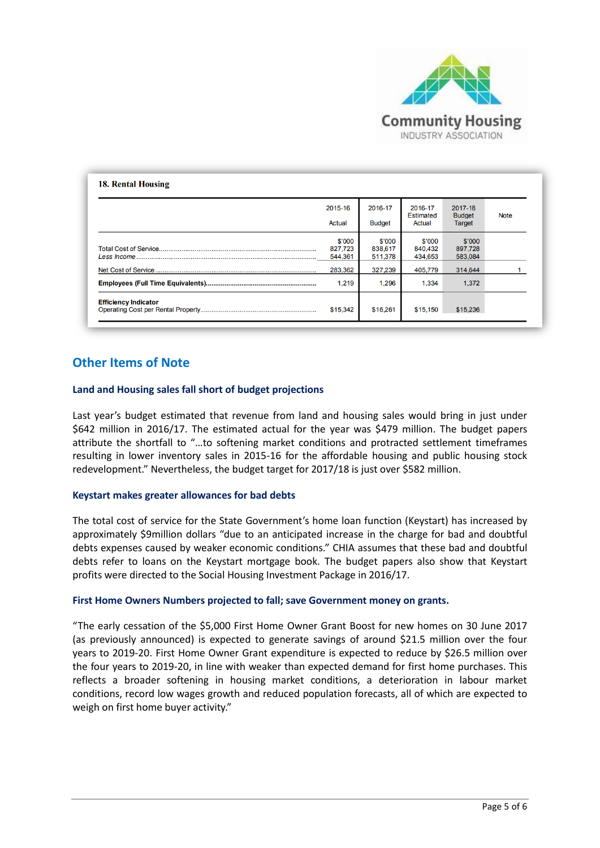

| Actual                       | <b>Budget</b>                | <b>Estimated</b><br>Actual   | <b>Budget</b><br><b>Target</b> | <b>Note</b> |
|------------------------------|------------------------------|------------------------------|--------------------------------|-------------|
|                              |                              |                              |                                |             |
| \$'000<br>827,723<br>544,361 | \$'000<br>838,617<br>511,378 | \$'000<br>840,432<br>434.653 | \$'000<br>897,728<br>583,084   |             |
| 283,362                      | 327.239                      | 405,779                      | 314,644                        |             |
| 1.219                        | 1,296                        | 1,334                        | 1,372                          |             |
|                              |                              |                              |                                |             |
|                              | \$15,342                     | \$16,261                     | \$15,150                       | \$15,236    |

## **Other Items of Note**

#### **Land and Housing sales fall short of budget projections**

Last year's budget estimated that revenue from land and housing sales would bring in just under \$642 million in 2016/17. The estimated actual for the year was \$479 million. The budget papers attribute the shortfall to "…to softening market conditions and protracted settlement timeframes resulting in lower inventory sales in 2015-16 for the affordable housing and public housing stock redevelopment." Nevertheless, the budget target for 2017/18 is just over \$582 million.

#### **Keystart makes greater allowances for bad debts**

The total cost of service for the State Government's home loan function (Keystart) has increased by approximately \$9million dollars "due to an anticipated increase in the charge for bad and doubtful debts expenses caused by weaker economic conditions." CHIA assumes that these bad and doubtful debts refer to loans on the Keystart mortgage book. The budget papers also show that Keystart profits were directed to the Social Housing Investment Package in 2016/17.

#### **First Home Owners Numbers projected to fall; save Government money on grants.**

"The early cessation of the \$5,000 First Home Owner Grant Boost for new homes on 30 June 2017 (as previously announced) is expected to generate savings of around \$21.5 million over the four years to 2019-20. First Home Owner Grant expenditure is expected to reduce by \$26.5 million over the four years to 2019-20, in line with weaker than expected demand for first home purchases. This reflects a broader softening in housing market conditions, a deterioration in labour market conditions, record low wages growth and reduced population forecasts, all of which are expected to weigh on first home buyer activity."